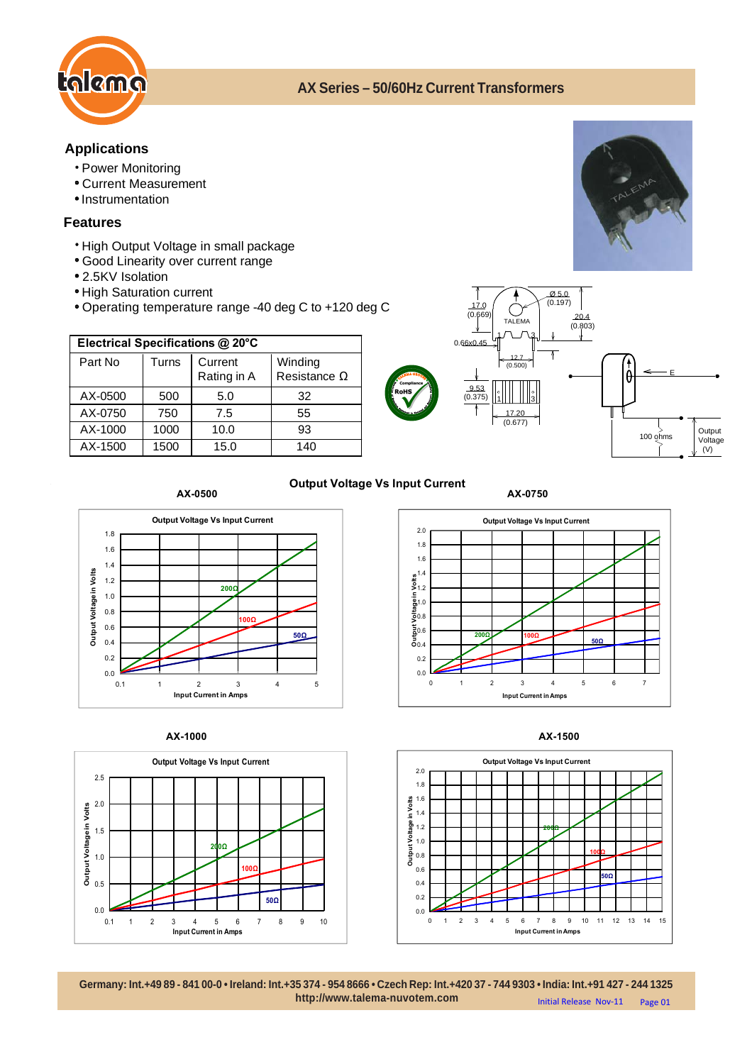

# **AX Series – 50/60Hz Current Transformers**

# **Applications**

- Power Monitoring
- Current Measurement
- Instrumentation

## **Features**

- \* High Output Voltage in small package
- Good Linearity over current range
- 2.5KV Isolation
- High Saturation current
- Operating temperature range -40 deg C to +120 deg C

| Electrical Specifications @ 20°C |       |             |                     |
|----------------------------------|-------|-------------|---------------------|
| Part No                          | Turns | Current     | Winding             |
|                                  |       | Rating in A | Resistance $\Omega$ |
| AX-0500                          | 500   | 5.0         | 32                  |
| AX-0750                          | 750   | 7.5         | 55                  |
| AX-1000                          | 1000  | 10.0        | 93                  |
| AX-1500                          | 1500  | 15.0        | 140                 |



### **Output Voltage Vs Input Current AX-0500 AX-0750**













**Germany: Int.+49 89 - 841 00-0 • Ireland: Int.+35 374 - 954 8666 • Czech Rep: Int.+420 37 - 744 9303 • India: Int.+91 427 - 244 1325 http://www.talema-nuvotem.com** Initial Release Nov-11 Page 01